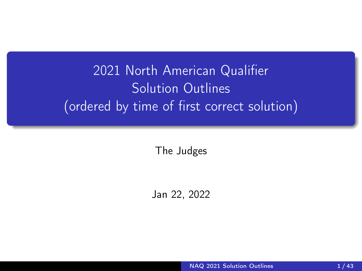<span id="page-0-0"></span>2021 North American Qualifier Solution Outlines (ordered by time of first correct solution)

The Judges

Jan 22, 2022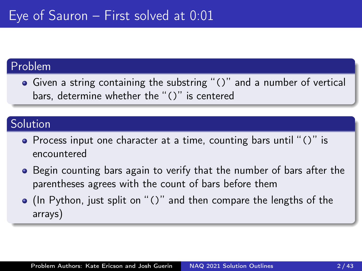• Given a string containing the substring "()" and a number of vertical bars, determine whether the "()" is centered

### Solution

- Process input one character at a time, counting bars until "()" is encountered
- Begin counting bars again to verify that the number of bars after the parentheses agrees with the count of bars before them
- (In Python, just split on "()" and then compare the lengths of the arrays)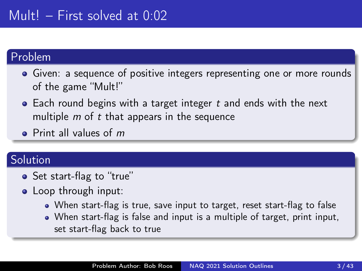- Given: a sequence of positive integers representing one or more rounds of the game "Mult!"
- $\bullet$  Each round begins with a target integer t and ends with the next multiple  $m$  of  $t$  that appears in the sequence
- **•** Print all values of *m*

# Solution

- Set start-flag to "true"
- Loop through input:
	- When start-flag is true, save input to target, reset start-flag to false
	- When start-flag is false and input is a multiple of target, print input, set start-flag back to true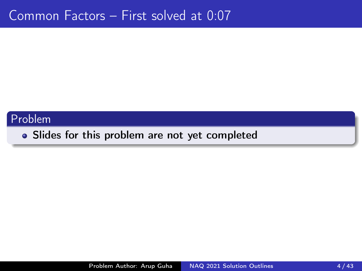### • Slides for this problem are not yet completed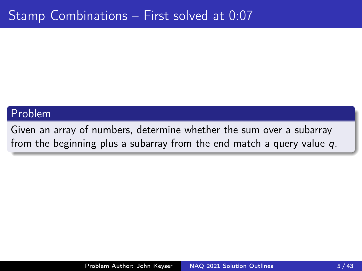Given an array of numbers, determine whether the sum over a subarray from the beginning plus a subarray from the end match a query value q.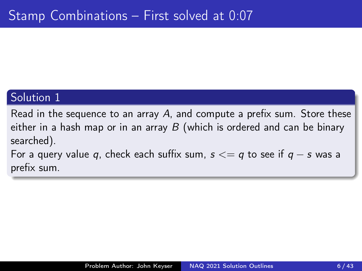### Solution 1

Read in the sequence to an array A, and compute a prefix sum. Store these either in a hash map or in an array  $B$  (which is ordered and can be binary searched).

For a query value q, check each suffix sum,  $s \leq a$  to see if  $q - s$  was a prefix sum.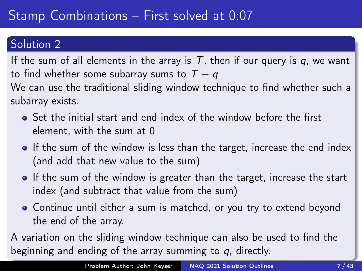# Stamp Combinations – First solved at 0:07

# Solution 2

If the sum of all elements in the array is  $T$ , then if our query is  $q$ , we want to find whether some subarray sums to  $T - q$ We can use the traditional sliding window technique to find whether such a subarray exists.

- Set the initial start and end index of the window before the first element, with the sum at 0
- If the sum of the window is less than the target, increase the end index (and add that new value to the sum)
- If the sum of the window is greater than the target, increase the start index (and subtract that value from the sum)
- Continue until either a sum is matched, or you try to extend beyond the end of the array.

A variation on the sliding window technique can also be used to find the beginning and ending of the array summing to  $q$ , directly.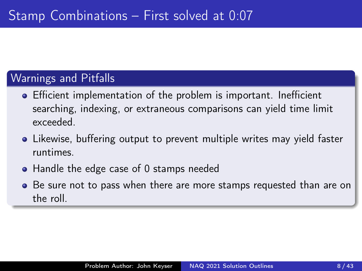## Warnings and Pitfalls

- Efficient implementation of the problem is important. Inefficient searching, indexing, or extraneous comparisons can yield time limit exceeded.
- Likewise, buffering output to prevent multiple writes may yield faster runtimes.
- Handle the edge case of 0 stamps needed
- Be sure not to pass when there are more stamps requested than are on the roll.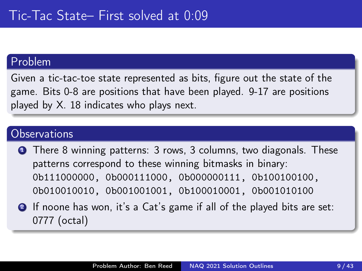Given a tic-tac-toe state represented as bits, figure out the state of the game. Bits 0-8 are positions that have been played. 9-17 are positions played by X. 18 indicates who plays next.

## **Observations**

**1** There 8 winning patterns: 3 rows, 3 columns, two diagonals. These patterns correspond to these winning bitmasks in binary: 0b111000000, 0b000111000, 0b000000111, 0b100100100, 0b010010010, 0b001001001, 0b100010001, 0b001010100

**2** If noone has won, it's a Cat's game if all of the played bits are set: 0777 (octal)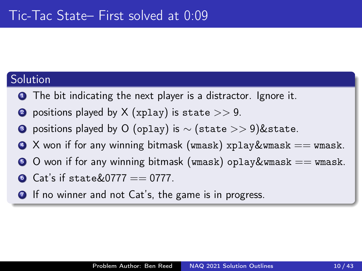## **Solution**

- **1** The bit indicating the next player is a distractor. Ignore it.
- **2** positions played by  $X$  (xplay) is state  $>> 9$ .
- $\bullet$  positions played by O (oplay) is  $\sim$  (state >> 9)&state.
- $\bullet$  X won if for any winning bitmask (wmask) xplay&wmask  $==$  wmask.
- $\bullet$  O won if for any winning bitmask (wmask) oplay&wmask == wmask.
- 6 Cat's if state $&0.0777 == 0.0777$ .
- **2** If no winner and not Cat's, the game is in progress.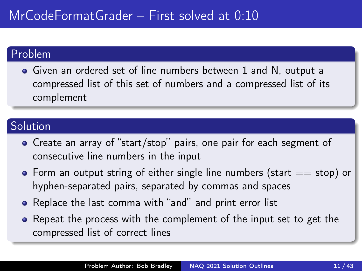Given an ordered set of line numbers between 1 and N, output a compressed list of this set of numbers and a compressed list of its complement

# **Solution**

- Create an array of "start/stop" pairs, one pair for each segment of consecutive line numbers in the input
- Form an output string of either single line numbers (start  $==$  stop) or hyphen-separated pairs, separated by commas and spaces
- Replace the last comma with "and" and print error list
- Repeat the process with the complement of the input set to get the compressed list of correct lines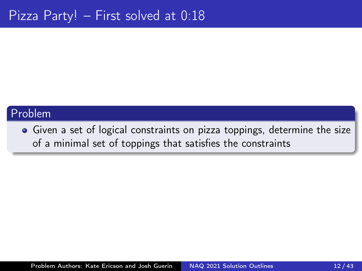Given a set of logical constraints on pizza toppings, determine the size of a minimal set of toppings that satisfies the constraints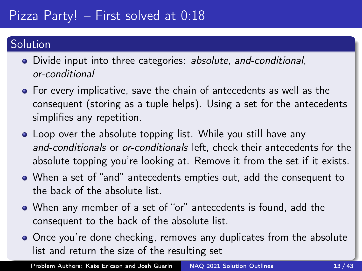# Solution

- Divide input into three categories: absolute, and-conditional, or-conditional
- For every implicative, save the chain of antecedents as well as the consequent (storing as a tuple helps). Using a set for the antecedents simplifies any repetition.
- Loop over the absolute topping list. While you still have any and-conditionals or or-conditionals left, check their antecedents for the absolute topping you're looking at. Remove it from the set if it exists.
- When a set of "and" antecedents empties out, add the consequent to the back of the absolute list.
- When any member of a set of "or" antecedents is found, add the consequent to the back of the absolute list.
- Once you're done checking, removes any duplicates from the absolute list and return the size of the resulting set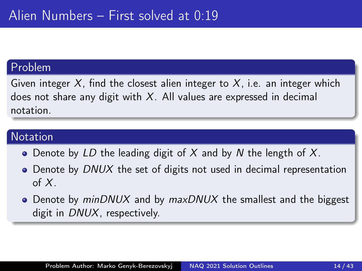Given integer X, find the closest alien integer to X, i.e. an integer which does not share any digit with  $X$ . All values are expressed in decimal notation.

#### Notation

- Denote by LD the leading digit of X and by N the length of X.
- Denote by DNUX the set of digits not used in decimal representation of  $X$ .
- Denote by  $minDNUX$  and by  $maxDNUX$  the smallest and the biggest digit in DNUX, respectively.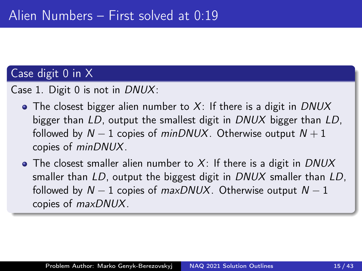## Case digit 0 in X

- Case 1. Digit 0 is not in DNUX:
	- The closest bigger alien number to X: If there is a digit in DNUX bigger than LD, output the smallest digit in DNUX bigger than LD, followed by  $N - 1$  copies of minDNUX. Otherwise output  $N + 1$ copies of minDNUX.
	- $\bullet$  The closest smaller alien number to X: If there is a digit in DNUX smaller than LD, output the biggest digit in DNUX smaller than LD, followed by  $N - 1$  copies of maxDNUX. Otherwise output  $N - 1$ copies of maxDNUX.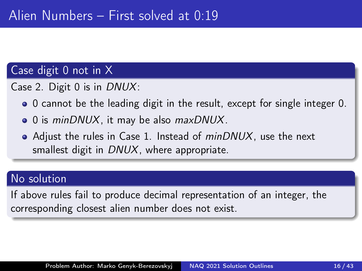#### Case digit 0 not in X

Case 2. Digit 0 is in DNUX:

- 0 cannot be the leading digit in the result, except for single integer 0.
- 0 is minDNUX, it may be also maxDNUX.
- Adjust the rules in Case 1. Instead of *minDNUX*, use the next smallest digit in DNUX, where appropriate.

#### No solution

If above rules fail to produce decimal representation of an integer, the corresponding closest alien number does not exist.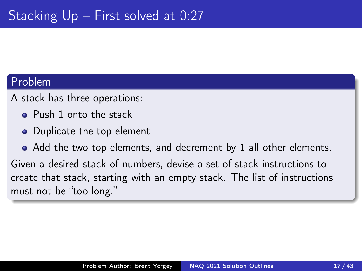A stack has three operations:

- Push 1 onto the stack
- Duplicate the top element

• Add the two top elements, and decrement by 1 all other elements. Given a desired stack of numbers, devise a set of stack instructions to create that stack, starting with an empty stack. The list of instructions must not be "too long."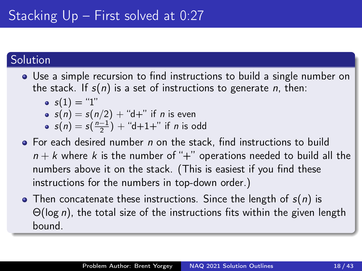## Solution

- Use a simple recursion to find instructions to build a single number on the stack. If  $s(n)$  is a set of instructions to generate n, then:
	- $s(1) = "1"$
	- $s(n) = s(n/2) + "d"$  if *n* is even
	- $s(n) = s(\frac{n-1}{2}) +$  "d+1+" if *n* is odd
- $\bullet$  For each desired number n on the stack, find instructions to build  $n + k$  where k is the number of "+" operations needed to build all the numbers above it on the stack. (This is easiest if you find these instructions for the numbers in top-down order.)
- Then concatenate these instructions. Since the length of  $s(n)$  is  $\Theta(\log n)$ , the total size of the instructions fits within the given length bound.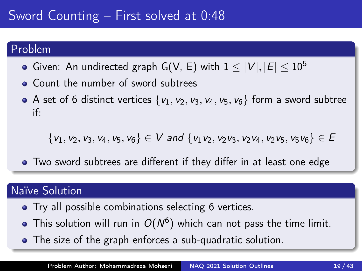# Sword Counting – First solved at 0:48

## Problem

- Given: An undirected graph G(V, E) with  $1 \leq |V|, |E| \leq 10^5$
- Count the number of sword subtrees
- A set of 6 distinct vertices  $\{v_1, v_2, v_3, v_4, v_5, v_6\}$  form a sword subtree if:

 ${v_1, v_2, v_3, v_4, v_5, v_6} \in V$  and  ${v_1v_2, v_2v_3, v_2v_4, v_2v_5, v_5v_6} \in E$ 

Two sword subtrees are different if they differ in at least one edge

# Naïve Solution

- Try all possible combinations selecting 6 vertices.
- This solution will run in  $O(N^6)$  which can not pass the time limit.
- The size of the graph enforces a sub-quadratic solution.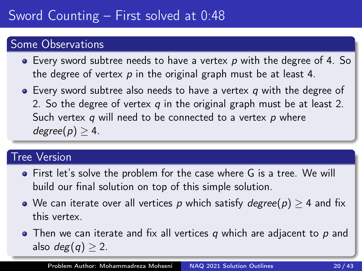# Sword Counting – First solved at 0:48

# Some Observations

- $\bullet$  Every sword subtree needs to have a vertex p with the degree of 4. So the degree of vertex  $p$  in the original graph must be at least 4.
- $\bullet$  Every sword subtree also needs to have a vertex q with the degree of 2. So the degree of vertex  $q$  in the original graph must be at least 2. Such vertex  $q$  will need to be connected to a vertex  $p$  where  $degree(p) > 4$ .

#### Tree Version

- First let's solve the problem for the case where G is a tree. We will build our final solution on top of this simple solution.
- We can iterate over all vertices p which satisfy  $degree(p) > 4$  and fix this vertex.
- $\bullet$  Then we can iterate and fix all vertices q which are adjacent to p and also  $deg(q) \geq 2$ .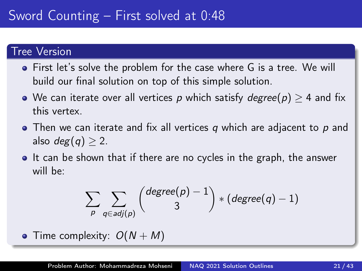#### Tree Version

- **•** First let's solve the problem for the case where G is a tree. We will build our final solution on top of this simple solution.
- We can iterate over all vertices p which satisfy  $degree(p) \geq 4$  and fix this vertex.
- $\bullet$  Then we can iterate and fix all vertices q which are adjacent to p and also  $deg(q) \geq 2$ .
- It can be shown that if there are no cycles in the graph, the answer will be:

$$
\sum_{p} \sum_{q \in adj(p)} \binom{degree(p)-1}{3} * (degree(q)-1)
$$

• Time complexity:  $O(N + M)$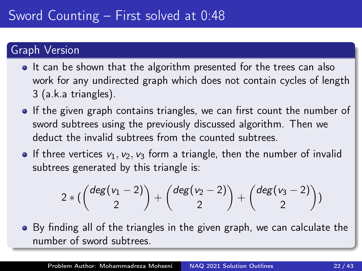# Sword Counting – First solved at 0:48

## Graph Version

- It can be shown that the algorithm presented for the trees can also work for any undirected graph which does not contain cycles of length 3 (a.k.a triangles).
- If the given graph contains triangles, we can first count the number of sword subtrees using the previously discussed algorithm. Then we deduct the invalid subtrees from the counted subtrees.
- **If three vertices**  $v_1, v_2, v_3$  **form a triangle, then the number of invalid** subtrees generated by this triangle is:

$$
2 * ( \binom{deg(v_1 - 2)}{2} + \binom{deg(v_2 - 2)}{2} + \binom{deg(v_3 - 2)}{2} )
$$

By finding all of the triangles in the given graph, we can calculate the number of sword subtrees.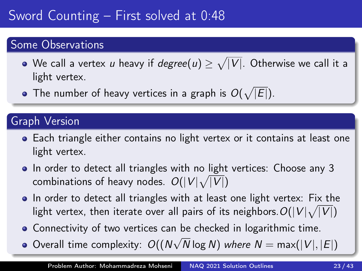# Sword Counting – First solved at 0:48

# Some Observations

- We call a vertex  $u$  heavy if  $\mathit{degree}(u) \geq \sqrt{|V|}$ . Otherwise we call it a light vertex.
- The number of heavy vertices in a graph is  $O(\sqrt{|E|}).$

## Graph Version

- Each triangle either contains no light vertex or it contains at least one light vertex.
- In order to detect all triangles with no light vertices: Choose any 3 combinations of heavy nodes.  $O(|V|\sqrt{|V|})$
- In order to detect all triangles with at least one light vertex: Fix the light vertex, then iterate over all pairs of its neighbors. $O(|V|\sqrt{|V|})$
- Connectivity of two vertices can be checked in logarithmic time. √
- Overall time complexity: O((N N log N) where  $N = max(|V|, |E|)$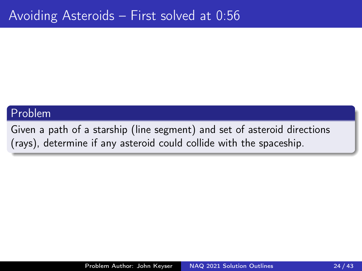Given a path of a starship (line segment) and set of asteroid directions (rays), determine if any asteroid could collide with the spaceship.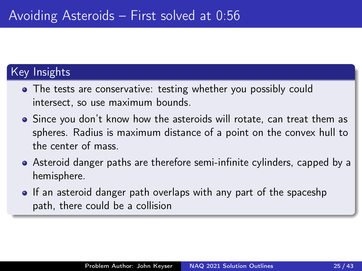# Key Insights

- The tests are conservative: testing whether you possibly could intersect, so use maximum bounds.
- Since you don't know how the asteroids will rotate, can treat them as spheres. Radius is maximum distance of a point on the convex hull to the center of mass.
- Asteroid danger paths are therefore semi-infinite cylinders, capped by a hemisphere.
- If an asteroid danger path overlaps with any part of the spaceshp path, there could be a collision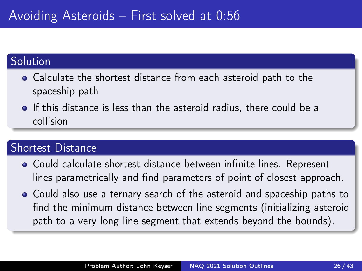### **Solution**

- Calculate the shortest distance from each asteroid path to the spaceship path
- If this distance is less than the asteroid radius, there could be a collision

#### Shortest Distance

- Could calculate shortest distance between infinite lines. Represent lines parametrically and find parameters of point of closest approach.
- Could also use a ternary search of the asteroid and spaceship paths to find the minimum distance between line segments (initializing asteroid path to a very long line segment that extends beyond the bounds).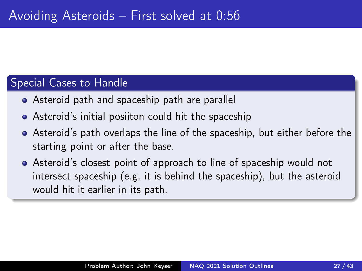## Special Cases to Handle

- Asteroid path and spaceship path are parallel
- Asteroid's initial posiiton could hit the spaceship
- Asteroid's path overlaps the line of the spaceship, but either before the starting point or after the base.
- Asteroid's closest point of approach to line of spaceship would not intersect spaceship (e.g. it is behind the spaceship), but the asteroid would hit it earlier in its path.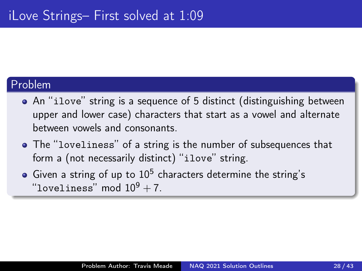- An "ilove" string is a sequence of 5 distinct (distinguishing between upper and lower case) characters that start as a vowel and alternate between vowels and consonants.
- The "loveliness" of a string is the number of subsequences that form a (not necessarily distinct) "ilove" string.
- Given a string of up to  $10^5$  characters determine the string's "loveliness" mod  $10^9 + 7$ .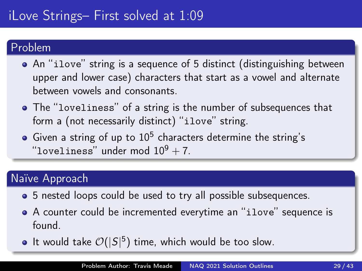- An "ilove" string is a sequence of 5 distinct (distinguishing between upper and lower case) characters that start as a vowel and alternate between vowels and consonants.
- The "loveliness" of a string is the number of subsequences that form a (not necessarily distinct) "ilove" string.
- Given a string of up to  $10^5$  characters determine the string's "loveliness" under mod  $10^9 + 7$ .

# Naïve Approach

- 5 nested loops could be used to try all possible subsequences.
- A counter could be incremented everytime an "ilove" sequence is found.
- It would take  $\mathcal{O}(|S|^5)$  time, which would be too slow.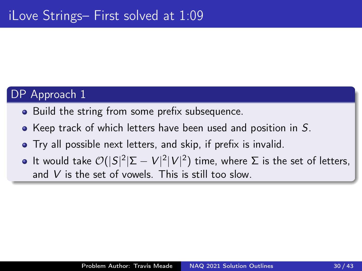# DP Approach 1

- Build the string from some prefix subsequence.
- Keep track of which letters have been used and position in S.
- Try all possible next letters, and skip, if prefix is invalid.
- It would take  $\mathcal{O}(|S|^2|\Sigma |V|^2|V|^2)$  time, where  $\Sigma$  is the set of letters, and V is the set of vowels. This is still too slow.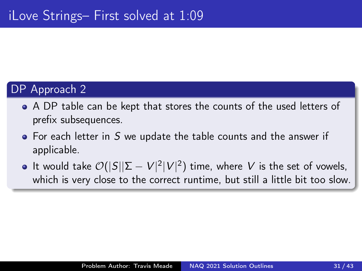# DP Approach 2

- A DP table can be kept that stores the counts of the used letters of prefix subsequences.
- $\bullet$  For each letter in S we update the table counts and the answer if applicable.
- It would take  $\mathcal{O}(|S||\Sigma V|^2 |V|^2)$  time, where V is the set of vowels, which is very close to the correct runtime, but still a little bit too slow.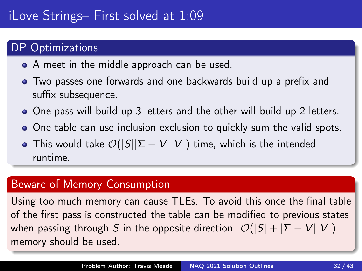# iLove Strings– First solved at 1:09

# DP Optimizations

- A meet in the middle approach can be used.
- Two passes one forwards and one backwards build up a prefix and suffix subsequence.
- One pass will build up 3 letters and the other will build up 2 letters.
- One table can use inclusion exclusion to quickly sum the valid spots.
- This would take  $\mathcal{O}(|S||\Sigma V||V|)$  time, which is the intended runtime.

## Beware of Memory Consumption

Using too much memory can cause TLEs. To avoid this once the final table of the first pass is constructed the table can be modified to previous states when passing through S in the opposite direction.  $\mathcal{O}(|S| + |\Sigma - V||V|)$ memory should be used.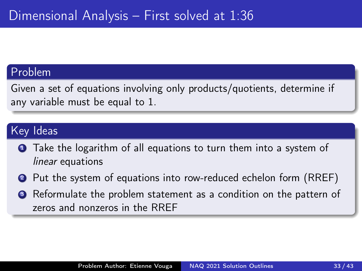Given a set of equations involving only products/quotients, determine if any variable must be equal to 1.

## Key Ideas

- **1** Take the logarithm of all equations to turn them into a system of linear equations
- <sup>2</sup> Put the system of equations into row-reduced echelon form (RREF)
- **3** Reformulate the problem statement as a condition on the pattern of zeros and nonzeros in the RREF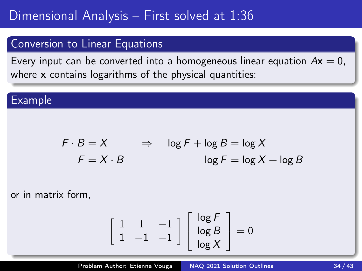# Dimensional Analysis – First solved at 1:36

#### Conversion to Linear Equations

Every input can be converted into a homogeneous linear equation  $Ax = 0$ , where x contains logarithms of the physical quantities:

#### Example

$$
F \cdot B = X \qquad \Rightarrow \qquad \log F + \log B = \log X
$$

$$
F = X \cdot B \qquad \qquad \log F = \log X + \log B
$$

or in matrix form,

$$
\left[\begin{array}{rr} 1 & 1 & -1 \\ 1 & -1 & -1 \end{array}\right] \left[\begin{array}{c} \log F \\ \log B \\ \log X \end{array}\right] = 0
$$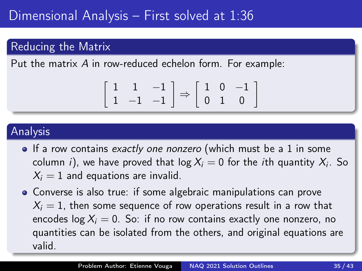# Dimensional Analysis – First solved at 1:36

# Reducing the Matrix

Put the matrix A in row-reduced echelon form. For example:

$$
\left[\begin{array}{rrr}1 & 1 & -1 \\1 & -1 & -1\end{array}\right]\Rightarrow \left[\begin{array}{rrr}1 & 0 & -1 \\0 & 1 & 0\end{array}\right]
$$

## Analysis

- If a row contains exactly one nonzero (which must be a 1 in some column  $i$ ), we have proved that log  $X_{i}=0$  for the  $i$ th quantity  $X_{i\cdot}$  . So  $X_i = 1$  and equations are invalid.
- Converse is also true: if some algebraic manipulations can prove  $X_i = 1$ , then some sequence of row operations result in a row that encodes  $log X_i = 0$ . So: if no row contains exactly one nonzero, no quantities can be isolated from the others, and original equations are valid.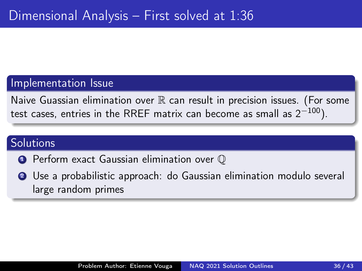#### Implementation Issue

Naive Guassian elimination over  $\mathbb R$  can result in precision issues. (For some test cases, entries in the RREF matrix can become as small as  $2^{-100}$ ).

## **Solutions**

- **•** Perform exact Gaussian elimination over  $\mathbb{Q}$
- <sup>2</sup> Use a probabilistic approach: do Gaussian elimination modulo several large random primes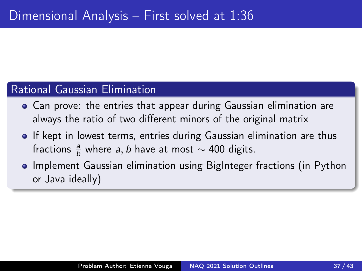## Rational Gaussian Elimination

- Can prove: the entries that appear during Gaussian elimination are always the ratio of two different minors of the original matrix
- **•** If kept in lowest terms, entries during Gaussian elimination are thus fractions  $\frac{a}{b}$  where a, b have at most  $\sim$  400 digits.
- Implement Gaussian elimination using BigInteger fractions (in Python or Java ideally)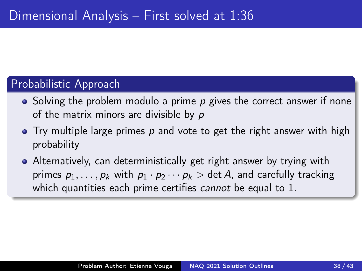## Probabilistic Approach

- $\bullet$  Solving the problem modulo a prime p gives the correct answer if none of the matrix minors are divisible by p
- $\bullet$  Try multiple large primes p and vote to get the right answer with high probability
- Alternatively, can deterministically get right answer by trying with primes  $p_1, \ldots, p_k$  with  $p_1 \cdot p_2 \cdots p_k > \det A$ , and carefully tracking which quantities each prime certifies *cannot* be equal to 1.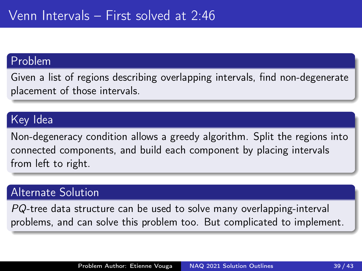Given a list of regions describing overlapping intervals, find non-degenerate placement of those intervals.

# Key Idea

Non-degeneracy condition allows a greedy algorithm. Split the regions into connected components, and build each component by placing intervals from left to right.

## Alternate Solution

PQ-tree data structure can be used to solve many overlapping-interval problems, and can solve this problem too. But complicated to implement.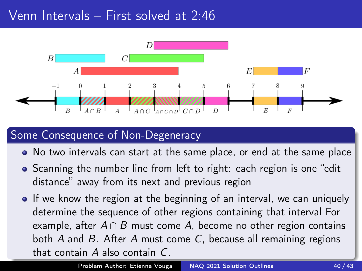# Venn Intervals – First solved at 2:46



## Some Consequence of Non-Degeneracy

- No two intervals can start at the same place, or end at the same place
- Scanning the number line from left to right: each region is one "edit" distance" away from its next and previous region
- If we know the region at the beginning of an interval, we can uniquely determine the sequence of other regions containing that interval For example, after  $A \cap B$  must come A, become no other region contains both A and B. After A must come C, because all remaining regions that contain A also contain C.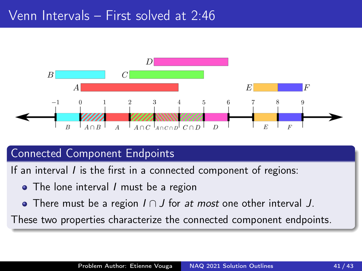# Venn Intervals – First solved at 2:46



### Connected Component Endpoints

If an interval  $I$  is the first in a connected component of regions:

- The lone interval I must be a region
- There must be a region  $I \cap J$  for at most one other interval J.

These two properties characterize the connected component endpoints.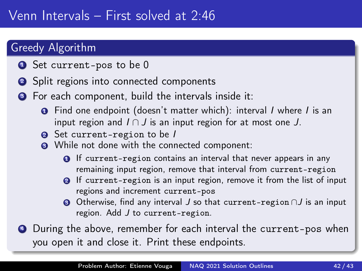# Greedy Algorithm

- **1** Set current-pos to be 0
- **2** Split regions into connected components
- **3** For each component, build the intervals inside it:
	- **O** Find one endpoint (doesn't matter which): interval I where I is an input region and  $I \cap J$  is an input region for at most one J.
	- **2** Set current-region to be /
	- **3** While not done with the connected component:
		- **1** If current-region contains an interval that never appears in any remaining input region, remove that interval from current-region
		- <sup>2</sup> If current-region is an input region, remove it from the list of input regions and increment current-pos
		- **3** Otherwise, find any interval J so that current-region ∩J is an input region. Add J to current-region.
- **4** During the above, remember for each interval the current-pos when you open it and close it. Print these endpoints.